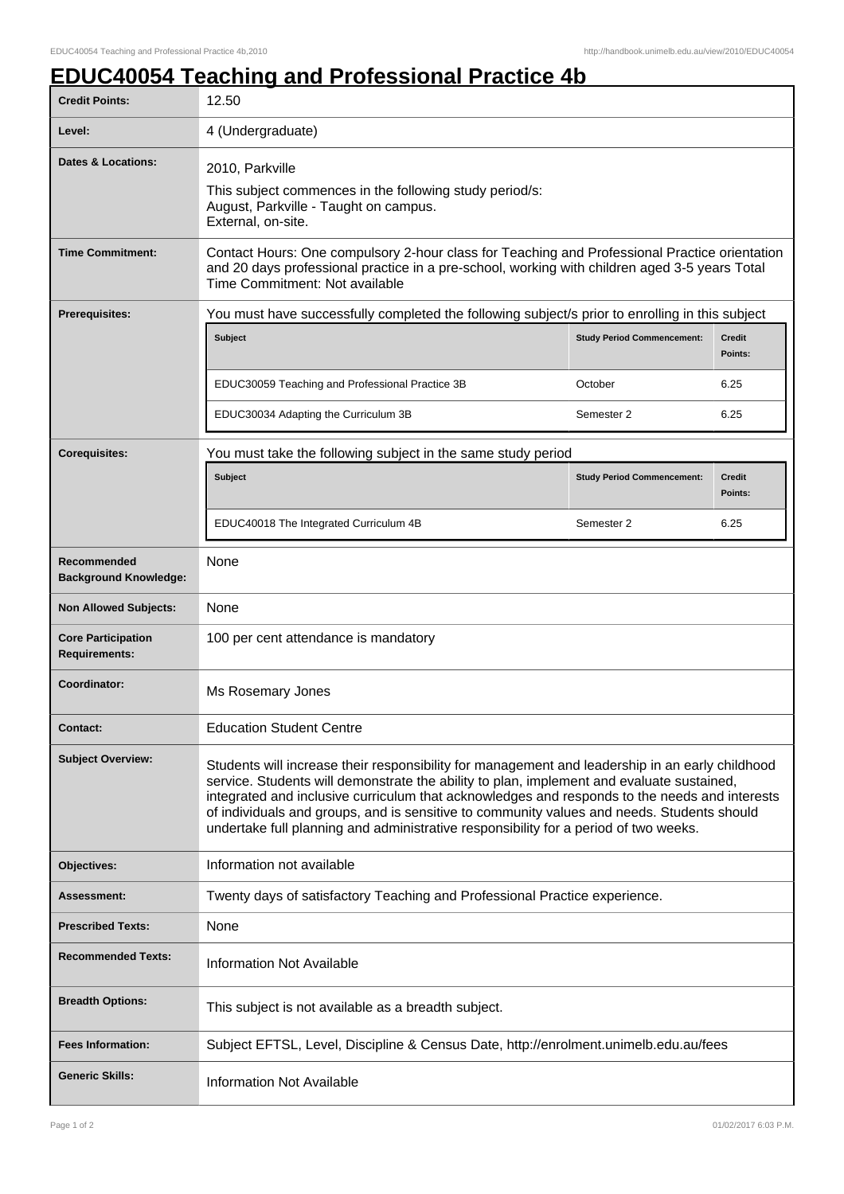## **EDUC40054 Teaching and Professional Practice 4b**

| <b>Credit Points:</b>                             | 12.50                                                                                                                                                                                                                                                                                                                                                                                                                                                                               |                                   |                          |
|---------------------------------------------------|-------------------------------------------------------------------------------------------------------------------------------------------------------------------------------------------------------------------------------------------------------------------------------------------------------------------------------------------------------------------------------------------------------------------------------------------------------------------------------------|-----------------------------------|--------------------------|
| Level:                                            | 4 (Undergraduate)                                                                                                                                                                                                                                                                                                                                                                                                                                                                   |                                   |                          |
| <b>Dates &amp; Locations:</b>                     | 2010, Parkville<br>This subject commences in the following study period/s:<br>August, Parkville - Taught on campus.<br>External, on-site.                                                                                                                                                                                                                                                                                                                                           |                                   |                          |
| <b>Time Commitment:</b>                           | Contact Hours: One compulsory 2-hour class for Teaching and Professional Practice orientation<br>and 20 days professional practice in a pre-school, working with children aged 3-5 years Total<br>Time Commitment: Not available                                                                                                                                                                                                                                                    |                                   |                          |
| Prerequisites:                                    | You must have successfully completed the following subject/s prior to enrolling in this subject                                                                                                                                                                                                                                                                                                                                                                                     |                                   |                          |
|                                                   | Subject                                                                                                                                                                                                                                                                                                                                                                                                                                                                             | <b>Study Period Commencement:</b> | <b>Credit</b><br>Points: |
|                                                   | EDUC30059 Teaching and Professional Practice 3B                                                                                                                                                                                                                                                                                                                                                                                                                                     | October                           | 6.25                     |
|                                                   | EDUC30034 Adapting the Curriculum 3B                                                                                                                                                                                                                                                                                                                                                                                                                                                | Semester 2                        | 6.25                     |
| <b>Corequisites:</b>                              | You must take the following subject in the same study period                                                                                                                                                                                                                                                                                                                                                                                                                        |                                   |                          |
|                                                   | <b>Subject</b>                                                                                                                                                                                                                                                                                                                                                                                                                                                                      | <b>Study Period Commencement:</b> | <b>Credit</b><br>Points: |
|                                                   | EDUC40018 The Integrated Curriculum 4B                                                                                                                                                                                                                                                                                                                                                                                                                                              | Semester 2                        | 6.25                     |
| Recommended<br><b>Background Knowledge:</b>       | None                                                                                                                                                                                                                                                                                                                                                                                                                                                                                |                                   |                          |
| <b>Non Allowed Subjects:</b>                      | None                                                                                                                                                                                                                                                                                                                                                                                                                                                                                |                                   |                          |
| <b>Core Participation</b><br><b>Requirements:</b> | 100 per cent attendance is mandatory                                                                                                                                                                                                                                                                                                                                                                                                                                                |                                   |                          |
| Coordinator:                                      | Ms Rosemary Jones                                                                                                                                                                                                                                                                                                                                                                                                                                                                   |                                   |                          |
| Contact:                                          | <b>Education Student Centre</b>                                                                                                                                                                                                                                                                                                                                                                                                                                                     |                                   |                          |
| <b>Subject Overview:</b>                          | Students will increase their responsibility for management and leadership in an early childhood<br>service. Students will demonstrate the ability to plan, implement and evaluate sustained,<br>integrated and inclusive curriculum that acknowledges and responds to the needs and interests<br>of individuals and groups, and is sensitive to community values and needs. Students should<br>undertake full planning and administrative responsibility for a period of two weeks. |                                   |                          |
| Objectives:                                       | Information not available                                                                                                                                                                                                                                                                                                                                                                                                                                                           |                                   |                          |
| Assessment:                                       | Twenty days of satisfactory Teaching and Professional Practice experience.                                                                                                                                                                                                                                                                                                                                                                                                          |                                   |                          |
| <b>Prescribed Texts:</b>                          | None                                                                                                                                                                                                                                                                                                                                                                                                                                                                                |                                   |                          |
| <b>Recommended Texts:</b>                         | <b>Information Not Available</b>                                                                                                                                                                                                                                                                                                                                                                                                                                                    |                                   |                          |
| <b>Breadth Options:</b>                           | This subject is not available as a breadth subject.                                                                                                                                                                                                                                                                                                                                                                                                                                 |                                   |                          |
| <b>Fees Information:</b>                          | Subject EFTSL, Level, Discipline & Census Date, http://enrolment.unimelb.edu.au/fees                                                                                                                                                                                                                                                                                                                                                                                                |                                   |                          |
| <b>Generic Skills:</b>                            | <b>Information Not Available</b>                                                                                                                                                                                                                                                                                                                                                                                                                                                    |                                   |                          |